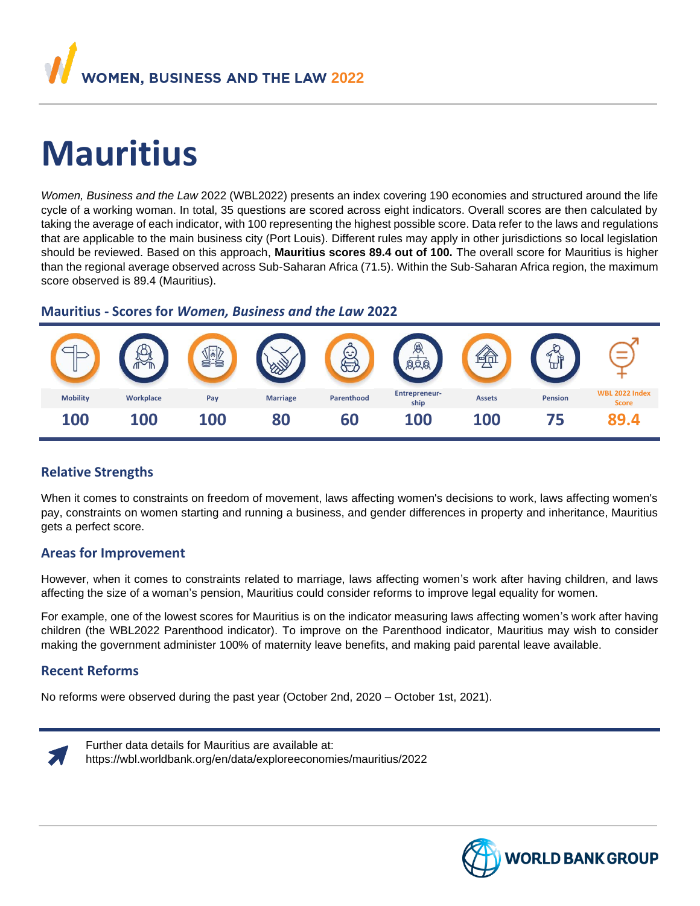

# **Mauritius**

*Women, Business and the Law* 2022 (WBL2022) presents an index covering 190 economies and structured around the life cycle of a working woman. In total, 35 questions are scored across eight indicators. Overall scores are then calculated by taking the average of each indicator, with 100 representing the highest possible score. Data refer to the laws and regulations that are applicable to the main business city (Port Louis). Different rules may apply in other jurisdictions so local legislation should be reviewed. Based on this approach, **Mauritius scores 89.4 out of 100.** The overall score for Mauritius is higher than the regional average observed across Sub-Saharan Africa (71.5). Within the Sub-Saharan Africa region, the maximum score observed is 89.4 (Mauritius).

### **Mauritius - Scores for** *Women, Business and the Law* **2022**



# **Relative Strengths**

When it comes to constraints on freedom of movement, laws affecting women's decisions to work, laws affecting women's pay, constraints on women starting and running a business, and gender differences in property and inheritance, Mauritius gets a perfect score.

### **Areas for Improvement**

However, when it comes to constraints related to marriage, laws affecting women's work after having children, and laws affecting the size of a woman's pension, Mauritius could consider reforms to improve legal equality for women.

For example, one of the lowest scores for Mauritius is on the indicator measuring laws affecting women's work after having children (the WBL2022 Parenthood indicator). To improve on the Parenthood indicator, Mauritius may wish to consider making the government administer 100% of maternity leave benefits, and making paid parental leave available.

# **Recent Reforms**

No reforms were observed during the past year (October 2nd, 2020 – October 1st, 2021).



Further data details for Mauritius are available at:

https://wbl.worldbank.org/en/data/exploreeconomies/mauritius/2022